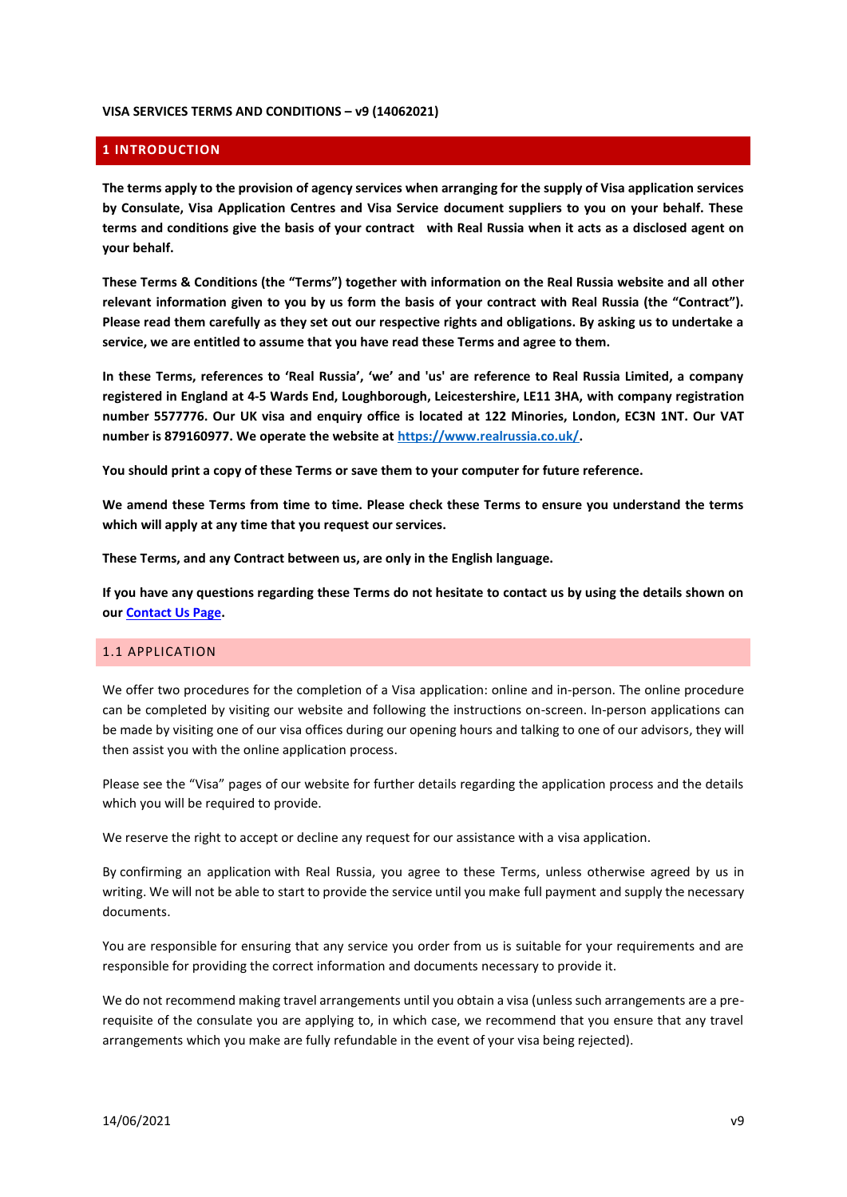#### **VISA SERVICES TERMS AND CONDITIONS – v9 (14062021)**

# **1 INTRODUCTION**

**The terms apply to the provision of agency services when arranging for the supply of Visa application services by Consulate, Visa Application Centres and Visa Service document suppliers to you on your behalf. These terms and conditions give the basis of your contract with Real Russia when it acts as a disclosed agent on your behalf.** 

**These Terms & Conditions (the "Terms") together with information on the Real Russia website and all other relevant information given to you by us form the basis of your contract with Real Russia (the "Contract"). Please read them carefully as they set out our respective rights and obligations. By asking us to undertake a service, we are entitled to assume that you have read these Terms and agree to them.**

**In these Terms, references to 'Real Russia', 'we' and 'us' are reference to Real Russia Limited, a company registered in England at 4-5 Wards End, Loughborough, Leicestershire, LE11 3HA, with company registration number 5577776. Our UK visa and enquiry office is located at 122 Minories, London, EC3N 1NT. Our VAT number is 879160977. We operate the website a[t https://www.realrussia.co.uk/.](https://www.realrussia.co.uk/)** 

**You should print a copy of these Terms or save them to your computer for future reference.**

**We amend these Terms from time to time. Please check these Terms to ensure you understand the terms which will apply at any time that you request our services.** 

**These Terms, and any Contract between us, are only in the English language.**

**If you have any questions regarding these Terms do not hesitate to contact us by using the details shown on ou[r Contact Us Page.](https://www.realrussia.co.uk/info/contact-us)**

### 1.1 APPLICATION

We offer two procedures for the completion of a Visa application: online and in-person. The online procedure can be completed by visiting our website and following the instructions on-screen. In-person applications can be made by visiting one of our visa offices during our opening hours and talking to one of our advisors, they will then assist you with the online application process.

Please see the "Visa" pages of our website for further details regarding the application process and the details which you will be required to provide.

We reserve the right to accept or decline any request for our assistance with a visa application.

By [confirming an application](http://www.realrussia.co.uk/termsandconds2.asp#booking) with Real Russia, you agree to these Terms, unless otherwise agreed by us in writing. We will not be able to start to provide the service until you make [full payment](http://www.realrussia.co.uk/termsandconds2.asp#payment) and supply the necessary documents.

You [are responsible](http://www.realrussia.co.uk/termsandconds2.asp#responsibility) for ensuring that any service you order from us is suitable for your requirements and are responsible for providing the correct information and documents necessary to provide it.

We do not recommend making travel arrangements until you obtain a visa (unless such arrangements are a prerequisite of the consulate you are applying to, in which case, we recommend that you ensure that any travel arrangements which you make are fully refundable in the event of your visa being rejected).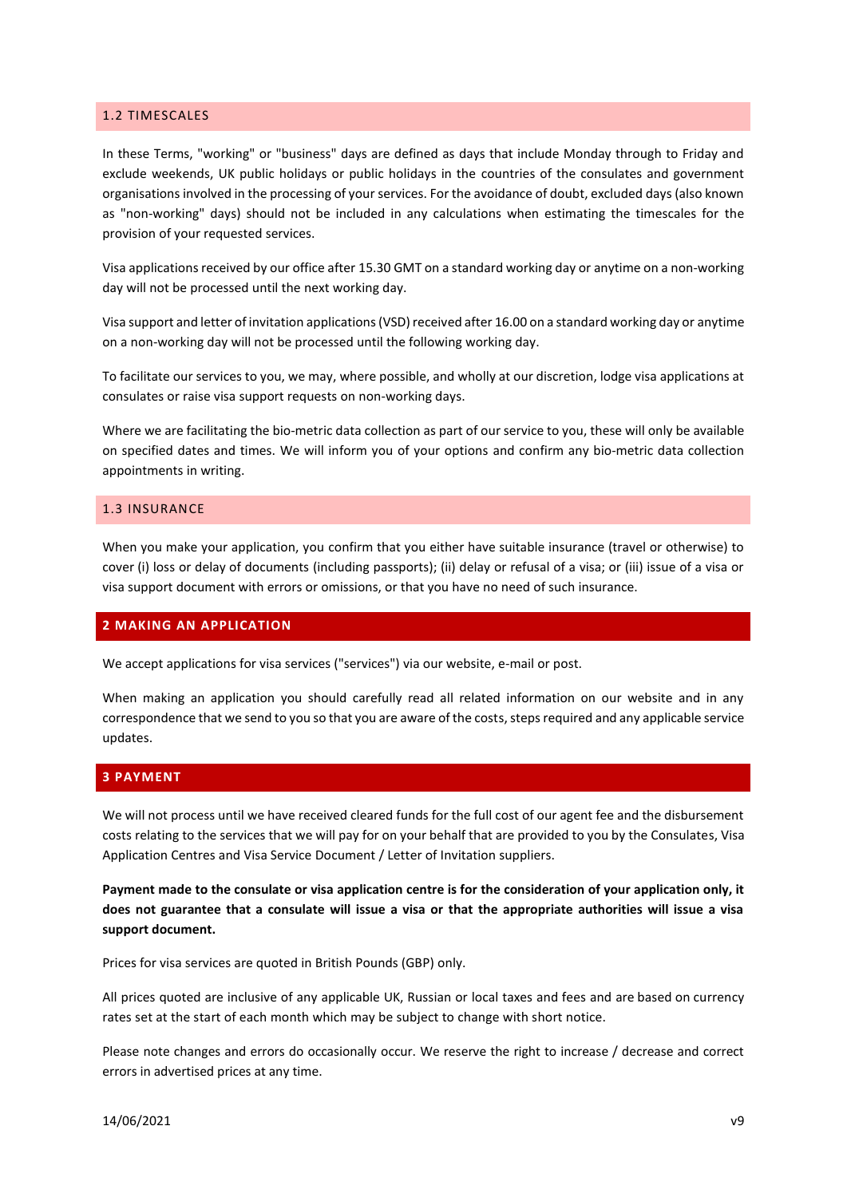#### 1.2 TIMESCALES

In these Terms, "working" or "business" days are defined as days that include Monday through to Friday and exclude weekends, UK public holidays or public holidays in the countries of the consulates and government organisations involved in the processing of your services. For the avoidance of doubt, excluded days (also known as "non-working" days) should not be included in any calculations when estimating the timescales for the provision of your requested services.

Visa applications received by our office after 15.30 GMT on a standard working day or anytime on a non-working day will not be processed until the next working day.

Visa support and letter of invitation applications (VSD) received after 16.00 on a standard working day or anytime on a non-working day will not be processed until the following working day.

To facilitate our services to you, we may, where possible, and wholly at our discretion, lodge visa applications at consulates or raise visa support requests on non-working days.

Where we are facilitating the bio-metric data collection as part of our service to you, these will only be available on specified dates and times. We will inform you of your options and confirm any bio-metric data collection appointments in writing.

# 1.3 INSURANCE

When you make your application, you confirm that you either have suitable insurance (travel or otherwise) to cover (i) loss or delay of documents (including passports); (ii) delay or refusal of a visa; or (iii) issue of a visa or visa support document with errors or omissions, or that you have no need of such insurance.

#### **2 MAKING AN APPLICATION**

We accept applications for visa services ("services") via our website, e-mail or post.

When making an application you should carefully read all related information on our website and in any correspondence that we send to you so that you are aware of the costs, steps required and any applicable service updates.

#### **3 PAYMENT**

We will not process until we have received cleared funds for the full cost of our agent fee and the disbursement costs relating to the services that we will pay for on your behalf that are provided to you by the Consulates, Visa Application Centres and Visa Service Document / Letter of Invitation suppliers.

**Payment made to the consulate or visa application centre is for the consideration of your application only, it does not guarantee that a consulate will issue a visa or that the appropriate authorities will issue a visa support document.**

Prices for visa services are quoted in British Pounds (GBP) only.

All prices quoted are inclusive of any applicable UK, Russian or local taxes and fees and are based on currency rates set at the start of each month which may be subject to change with short notice.

Please note changes and errors do occasionally occur. We reserve the right to increase / decrease and correct errors in advertised prices at any time.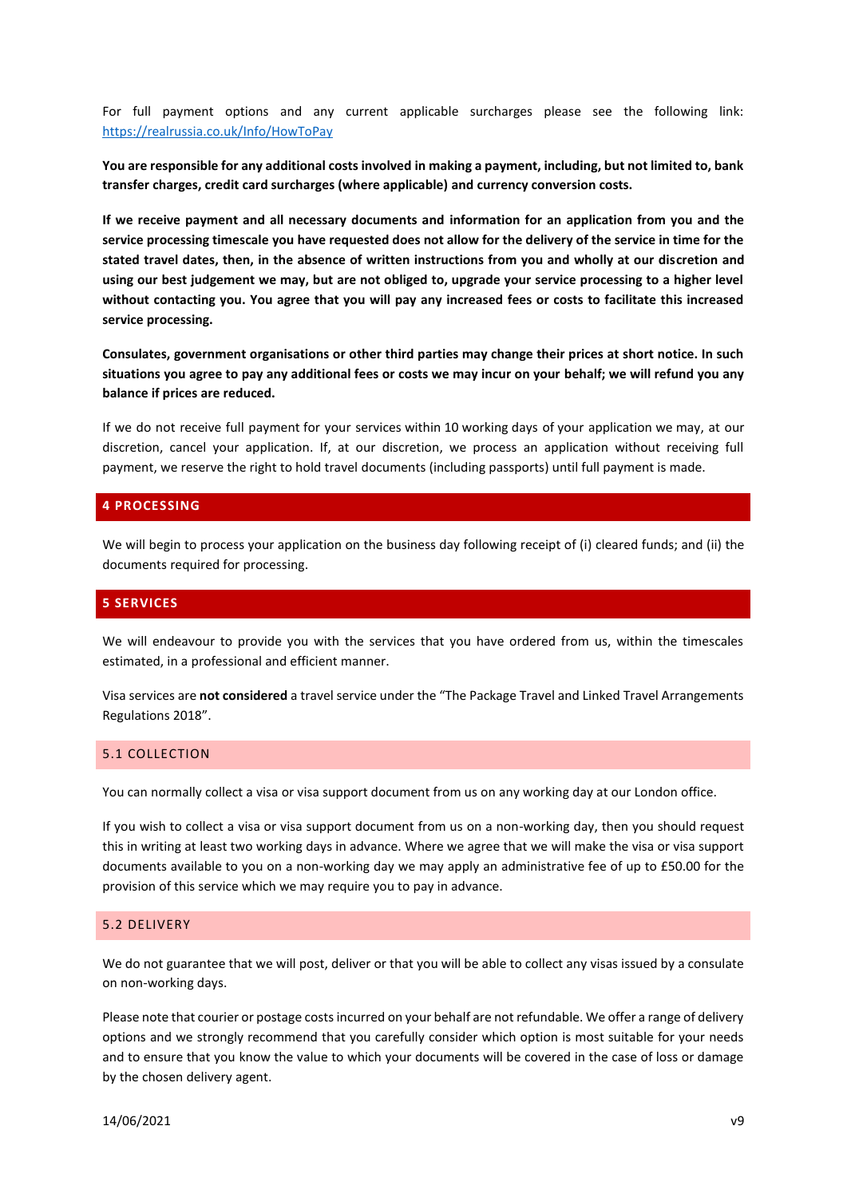For full payment options and any current applicable surcharges please see the following link: <https://realrussia.co.uk/Info/HowToPay>

**You are responsible for any additional costs involved in making a payment, including, but not limited to, bank transfer charges, credit card surcharges (where applicable) and currency conversion costs.** 

**If we receive payment and all necessary documents and information for an application from you and the service processing timescale you have requested does not allow for the delivery of the service in time for the stated travel dates, then, in the absence of written instructions from you and wholly at our discretion and using our best judgement we may, but are not obliged to, upgrade your service processing to a higher level without contacting you. You agree that you will pay any increased fees or costs to facilitate this increased service processing.**

**Consulates, government organisations or other third parties may change their prices at short notice. In such situations you agree to pay any additional fees or costs we may incur on your behalf; we will refund you any balance if prices are reduced.**

If we do not receive full payment for your services within 10 working days of your application we may, at our discretion, cancel your application. If, at our discretion, we process an application without receiving full payment, we reserve the right to hold travel documents (including passports) until full payment is made.

### **4 PROCESSING**

We will begin to process your application on the business day following receipt of (i) cleared funds; and (ii) the documents required for processing.

# **5 SERVICES**

We will endeavour to provide you with the services that you have ordered from us, within the timescales estimated, in a professional and efficient manner.

Visa services are **not considered** a travel service under the "The Package Travel and Linked Travel Arrangements Regulations 2018".

### 5.1 COLLECTION

You can normally collect a visa or visa support document from us on any working day at our London office.

If you wish to collect a visa or visa support document from us on a non-working day, then you should request this in writing at least two working days in advance. Where we agree that we will make the visa or visa support documents available to you on a non-working day we may apply an administrative fee of up to £50.00 for the provision of this service which we may require you to pay in advance.

## 5.2 DELIVERY

We do not guarantee that we will post, deliver or that you will be able to collect any visas issued by a consulate on non-working days.

Please note that courier or postage costs incurred on your behalf are not refundable. We offer a range of delivery options and we strongly recommend that you carefully consider which option is most suitable for your needs and to ensure that you know the value to which your documents will be covered in the case of loss or damage by the chosen delivery agent.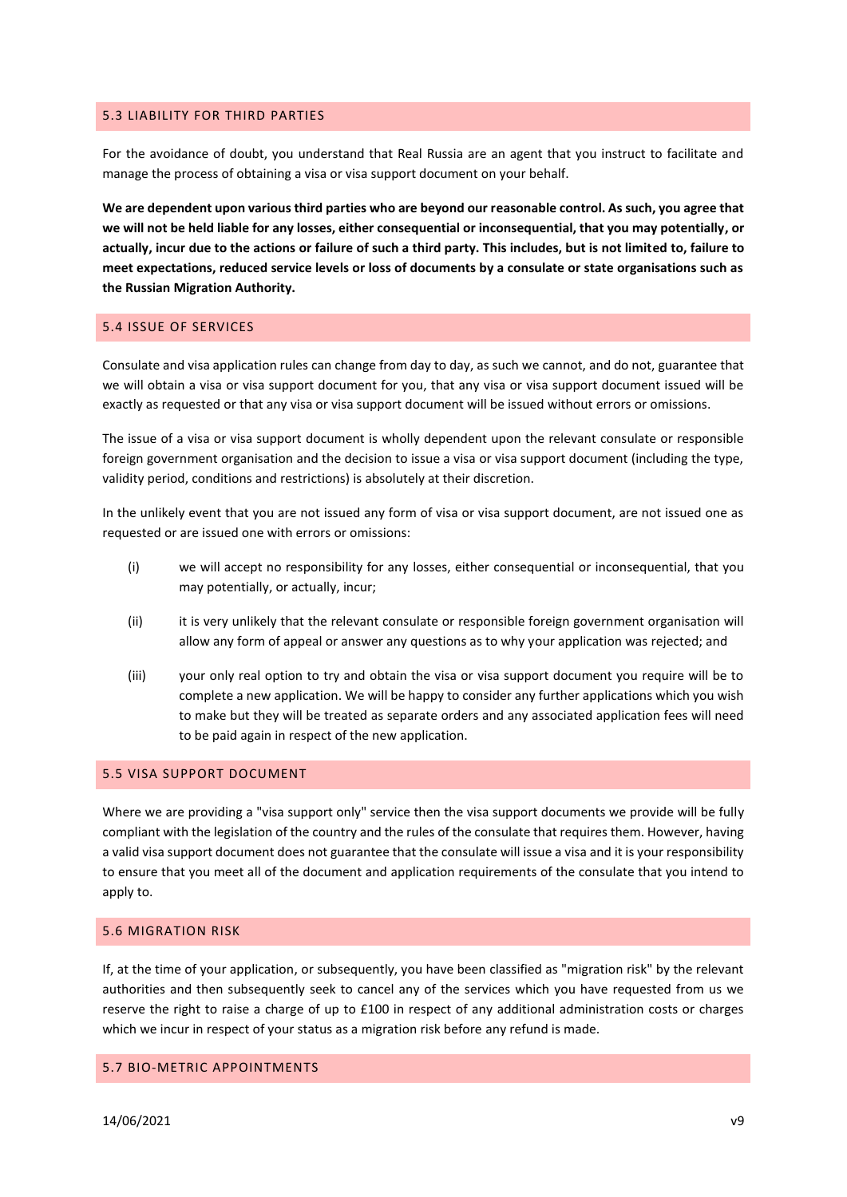#### 5.3 LIABILITY FOR THIRD PARTIES

For the avoidance of doubt, you understand that Real Russia are an agent that you instruct to facilitate and manage the process of obtaining a visa or visa support document on your behalf.

**We are dependent upon various third parties who are beyond our reasonable control. As such, you agree that we will not be held liable for any losses, either consequential or inconsequential, that you may potentially, or actually, incur due to the actions or failure of such a third party. This includes, but is not limited to, failure to meet expectations, reduced service levels or loss of documents by a consulate or state organisations such as the Russian Migration Authority.**

#### 5.4 ISSUE OF SERVICES

Consulate and visa application rules can change from day to day, as such we cannot, and do not, guarantee that we will obtain a visa or visa support document for you, that any visa or visa support document issued will be exactly as requested or that any visa or visa support document will be issued without errors or omissions.

The issue of a visa or visa support document is wholly dependent upon the relevant consulate or responsible foreign government organisation and the decision to issue a visa or visa support document (including the type, validity period, conditions and restrictions) is absolutely at their discretion.

In the unlikely event that you are not issued any form of visa or visa support document, are not issued one as requested or are issued one with errors or omissions:

- (i) we will accept no responsibility for any losses, either consequential or inconsequential, that you may potentially, or actually, incur;
- (ii) it is very unlikely that the relevant consulate or responsible foreign government organisation will allow any form of appeal or answer any questions as to why your application was rejected; and
- (iii) your only real option to try and obtain the visa or visa support document you require will be to complete a new application. We will be happy to consider any further applications which you wish to make but they will be treated as separate orders and any associated application fees will need to be paid again in respect of the new application.

### 5.5 VISA SUPPORT DOCUMENT

Where we are providing a "visa support only" service then the visa support documents we provide will be fully compliant with the legislation of the country and the rules of the consulate that requires them. However, having a valid visa support document does not guarantee that the consulate will issue a visa and it is your responsibility to ensure that you meet all of the document and application requirements of the consulate that you intend to apply to.

### 5.6 MIGRATION RISK

If, at the time of your application, or subsequently, you have been classified as "migration risk" by the relevant authorities and then subsequently seek to cancel any of the services which you have requested from us we reserve the right to raise a charge of up to £100 in respect of any additional administration costs or charges which we incur in respect of your status as a migration risk before any refund is made.

### 5.7 BIO-METRIC APPOINTMENTS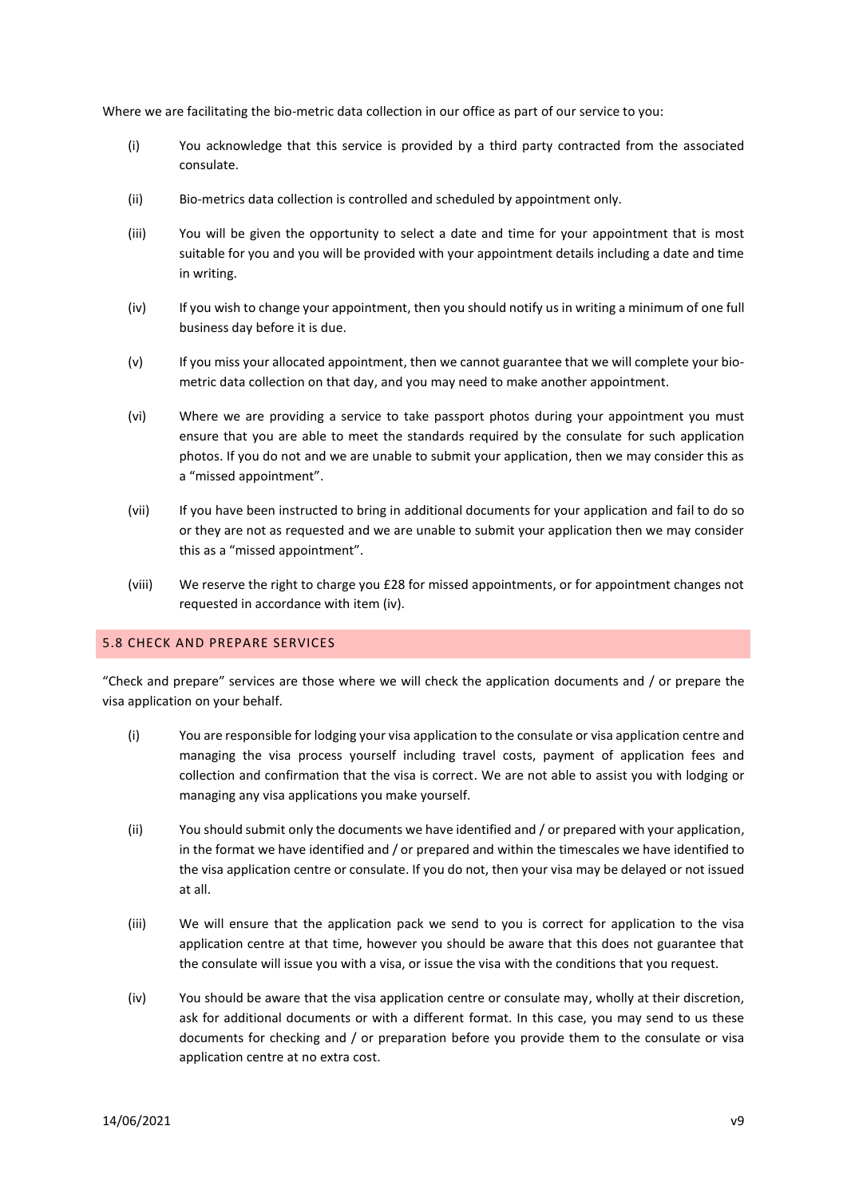Where we are facilitating the bio-metric data collection in our office as part of our service to you:

- (i) You acknowledge that this service is provided by a third party contracted from the associated consulate.
- (ii) Bio-metrics data collection is controlled and scheduled by appointment only.
- (iii) You will be given the opportunity to select a date and time for your appointment that is most suitable for you and you will be provided with your appointment details including a date and time in writing.
- (iv) If you wish to change your appointment, then you should notify us in writing a minimum of one full business day before it is due.
- (v) If you miss your allocated appointment, then we cannot guarantee that we will complete your biometric data collection on that day, and you may need to make another appointment.
- (vi) Where we are providing a service to take passport photos during your appointment you must ensure that you are able to meet the standards required by the consulate for such application photos. If you do not and we are unable to submit your application, then we may consider this as a "missed appointment".
- (vii) If you have been instructed to bring in additional documents for your application and fail to do so or they are not as requested and we are unable to submit your application then we may consider this as a "missed appointment".
- (viii) We reserve the right to charge you £28 for missed appointments, or for appointment changes not requested in accordance with item (iv).

#### 5.8 CHECK AND PREPARE SERVICES

"Check and prepare" services are those where we will check the application documents and / or prepare the visa application on your behalf.

- (i) You are responsible for lodging your visa application to the consulate or visa application centre and managing the visa process yourself including travel costs, payment of application fees and collection and confirmation that the visa is correct. We are not able to assist you with lodging or managing any visa applications you make yourself.
- (ii) You should submit only the documents we have identified and / or prepared with your application, in the format we have identified and / or prepared and within the timescales we have identified to the visa application centre or consulate. If you do not, then your visa may be delayed or not issued at all.
- (iii) We will ensure that the application pack we send to you is correct for application to the visa application centre at that time, however you should be aware that this does not guarantee that the consulate will issue you with a visa, or issue the visa with the conditions that you request.
- (iv) You should be aware that the visa application centre or consulate may, wholly at their discretion, ask for additional documents or with a different format. In this case, you may send to us these documents for checking and / or preparation before you provide them to the consulate or visa application centre at no extra cost.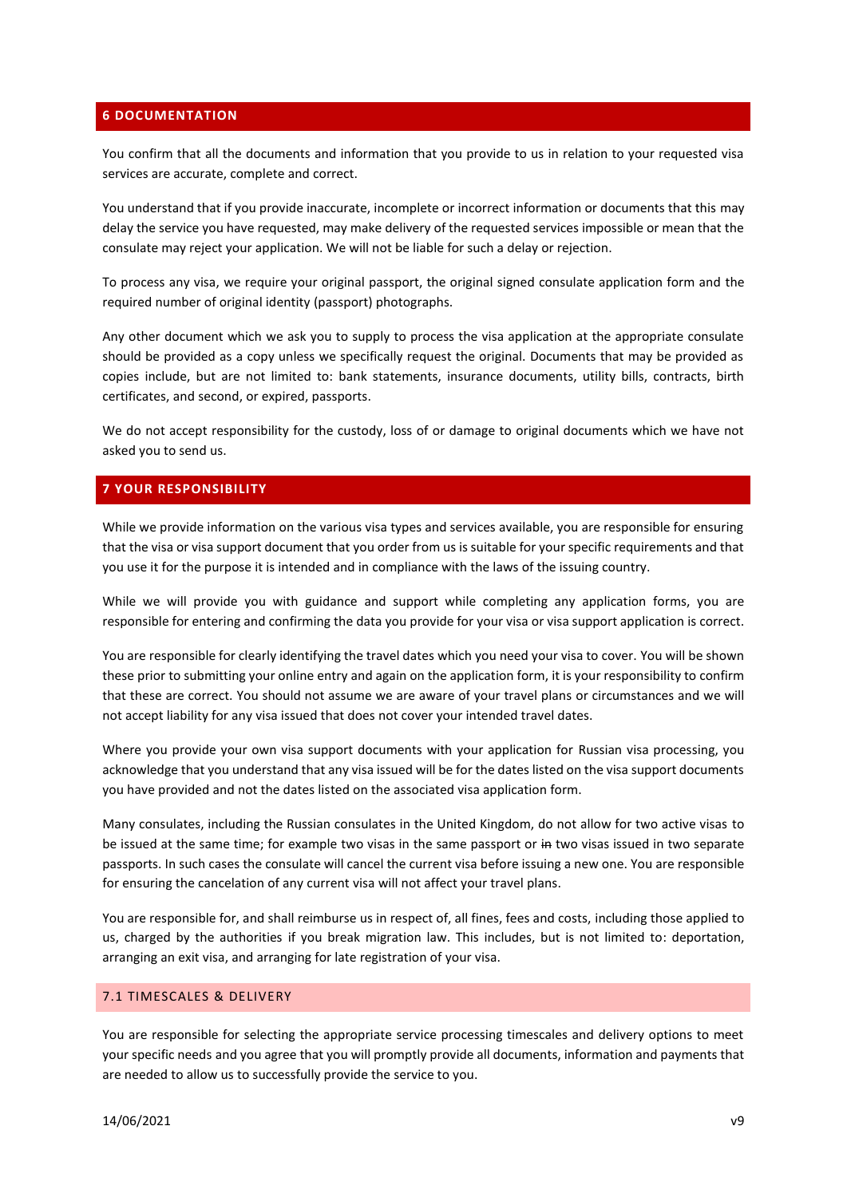### **6 DOCUMENTATION**

You confirm that all the documents and information that you provide to us in relation to your requested visa services are accurate, complete and correct.

You understand that if you provide inaccurate, incomplete or incorrect information or documents that this may delay the service you have requested, may make delivery of the requested services impossible or mean that the consulate may reject your application. We will not be liable for such a delay or rejection.

To process any visa, we require your original passport, the original signed consulate application form and the required number of original identity (passport) photographs.

Any other document which we ask you to supply to process the visa application at the appropriate consulate should be provided as a copy unless we specifically request the original. Documents that may be provided as copies include, but are not limited to: bank statements, insurance documents, utility bills, contracts, birth certificates, and second, or expired, passports.

We do not accept responsibility for the custody, loss of or damage to original documents which we have not asked you to send us.

# **7 YOUR RESPONSIBILITY**

While we provide information on the various visa types and services available, you are responsible for ensuring that the visa or visa support document that you order from us is suitable for your specific requirements and that you use it for the purpose it is intended and in compliance with the laws of the issuing country.

While we will provide you with guidance and support while completing any application forms, you are responsible for entering and confirming the data you provide for your visa or visa support application is correct.

You are responsible for clearly identifying the travel dates which you need your visa to cover. You will be shown these prior to submitting your online entry and again on the application form, it is your responsibility to confirm that these are correct. You should not assume we are aware of your travel plans or circumstances and we will not accept liability for any visa issued that does not cover your intended travel dates.

Where you provide your own visa support documents with your application for Russian visa processing, you acknowledge that you understand that any visa issued will be for the dates listed on the visa support documents you have provided and not the dates listed on the associated visa application form.

Many consulates, including the Russian consulates in the United Kingdom, do not allow for two active visas to be issued at the same time; for example two visas in the same passport or in two visas issued in two separate passports. In such cases the consulate will cancel the current visa before issuing a new one. You are responsible for ensuring the cancelation of any current visa will not affect your travel plans.

You are responsible for, and shall reimburse us in respect of, all fines, fees and costs, including those applied to us, charged by the authorities if you break migration law. This includes, but is not limited to: deportation, arranging an exit visa, and arranging for late registration of your visa.

## 7.1 TIMESCALES & DELIVERY

You are responsible for selecting the appropriate service processing timescales and delivery options to meet your specific needs and you agree that you will promptly provide all documents, information and payments that are needed to allow us to successfully provide the service to you.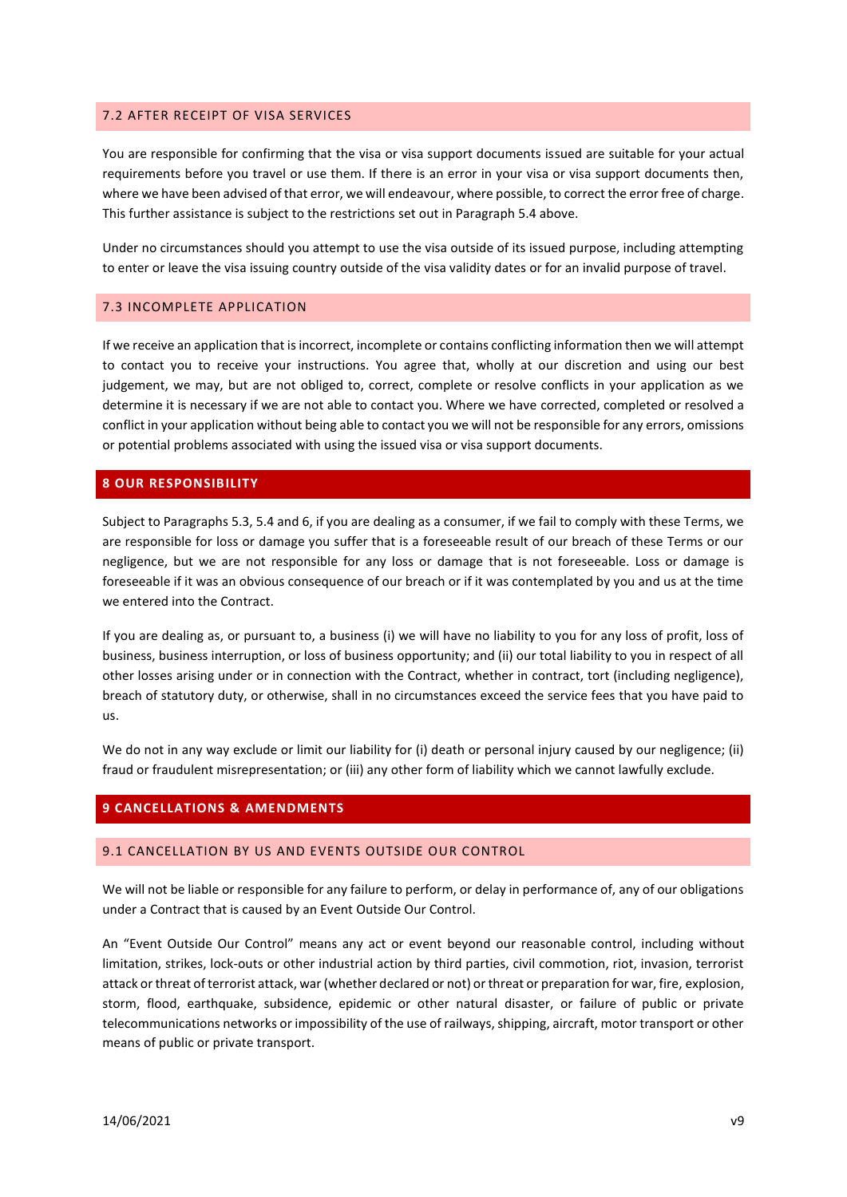### 7.2 AFTER RECEIPT OF VISA SERVICES

You are responsible for confirming that the visa or visa support documents issued are suitable for your actual requirements before you travel or use them. If there is an error in your visa or visa support documents then, where we have been advised of that error, we will endeavour, where possible, to correct the error free of charge. This further assistance is subject to the restrictions set out in Paragraph 5.4 above.

Under no circumstances should you attempt to use the visa outside of its issued purpose, including attempting to enter or leave the visa issuing country outside of the visa validity dates or for an invalid purpose of travel.

### 7.3 INCOMPLETE APPLICATION

If we receive an application that is incorrect, incomplete or contains conflicting information then we will attempt to contact you to receive your instructions. You agree that, wholly at our discretion and using our best judgement, we may, but are not obliged to, correct, complete or resolve conflicts in your application as we determine it is necessary if we are not able to contact you. Where we have corrected, completed or resolved a conflict in your application without being able to contact you we will not be responsible for any errors, omissions or potential problems associated with using the issued visa or visa support documents.

#### **8 OUR RESPONSIBILITY**

Subject to Paragraphs 5.3, 5.4 and 6, if you are dealing as a consumer, if we fail to comply with these Terms, we are responsible for loss or damage you suffer that is a foreseeable result of our breach of these Terms or our negligence, but we are not responsible for any loss or damage that is not foreseeable. Loss or damage is foreseeable if it was an obvious consequence of our breach or if it was contemplated by you and us at the time we entered into the Contract.

If you are dealing as, or pursuant to, a business (i) we will have no liability to you for any loss of profit, loss of business, business interruption, or loss of business opportunity; and (ii) our total liability to you in respect of all other losses arising under or in connection with the Contract, whether in contract, tort (including negligence), breach of statutory duty, or otherwise, shall in no circumstances exceed the service fees that you have paid to us.

We do not in any way exclude or limit our liability for (i) death or personal injury caused by our negligence; (ii) fraud or fraudulent misrepresentation; or (iii) any other form of liability which we cannot lawfully exclude.

## **9 CANCELLATIONS & AMENDMENTS**

#### 9.1 CANCELLATION BY US AND EVENTS OUTSIDE OUR CONTROL

We will not be liable or responsible for any failure to perform, or delay in performance of, any of our obligations under a Contract that is caused by an Event Outside Our Control.

An "Event Outside Our Control" means any act or event beyond our reasonable control, including without limitation, strikes, lock-outs or other industrial action by third parties, civil commotion, riot, invasion, terrorist attack or threat of terrorist attack, war (whether declared or not) or threat or preparation for war, fire, explosion, storm, flood, earthquake, subsidence, epidemic or other natural disaster, or failure of public or private telecommunications networks or impossibility of the use of railways, shipping, aircraft, motor transport or other means of public or private transport.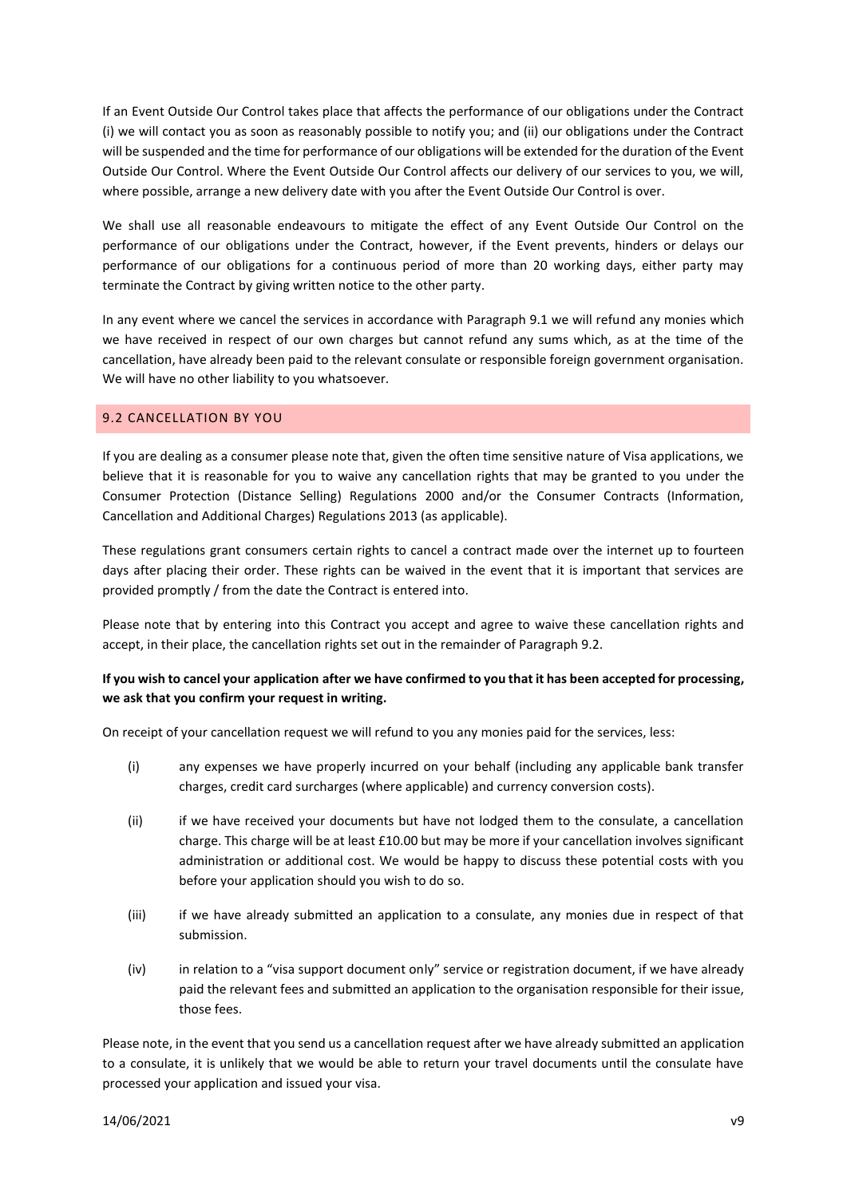If an Event Outside Our Control takes place that affects the performance of our obligations under the Contract (i) we will contact you as soon as reasonably possible to notify you; and (ii) our obligations under the Contract will be suspended and the time for performance of our obligations will be extended for the duration of the Event Outside Our Control. Where the Event Outside Our Control affects our delivery of our services to you, we will, where possible, arrange a new delivery date with you after the Event Outside Our Control is over.

We shall use all reasonable endeavours to mitigate the effect of any Event Outside Our Control on the performance of our obligations under the Contract, however, if the Event prevents, hinders or delays our performance of our obligations for a continuous period of more than 20 working days, either party may terminate the Contract by giving written notice to the other party.

In any event where we cancel the services in accordance with Paragraph 9.1 we will refund any monies which we have received in respect of our own charges but cannot refund any sums which, as at the time of the cancellation, have already been paid to the relevant consulate or responsible foreign government organisation. We will have no other liability to you whatsoever.

# 9.2 CANCELLATION BY YOU

If you are dealing as a consumer please note that, given the often time sensitive nature of Visa applications, we believe that it is reasonable for you to waive any cancellation rights that may be granted to you under the Consumer Protection (Distance Selling) Regulations 2000 and/or the Consumer Contracts (Information, Cancellation and Additional Charges) Regulations 2013 (as applicable).

These regulations grant consumers certain rights to cancel a contract made over the internet up to fourteen days after placing their order. These rights can be waived in the event that it is important that services are provided promptly / from the date the Contract is entered into.

Please note that by entering into this Contract you accept and agree to waive these cancellation rights and accept, in their place, the cancellation rights set out in the remainder of Paragraph 9.2.

# **If you wish to cancel your application after we have confirmed to you that it has been accepted for processing, we ask that you confirm your request in writing.**

On receipt of your cancellation request we will refund to you any monies paid for the services, less:

- (i) any expenses we have properly incurred on your behalf (including any applicable bank transfer charges, credit card surcharges (where applicable) and currency conversion costs).
- (ii) if we have received your documents but have not lodged them to the consulate, a cancellation charge. This charge will be at least £10.00 but may be more if your cancellation involves significant administration or additional cost. We would be happy to discuss these potential costs with you before your application should you wish to do so.
- (iii) if we have already submitted an application to a consulate, any monies due in respect of that submission.
- (iv) in relation to a "visa support document only" service or registration document, if we have already paid the relevant fees and submitted an application to the organisation responsible for their issue, those fees.

Please note, in the event that you send us a cancellation request after we have already submitted an application to a consulate, it is unlikely that we would be able to return your travel documents until the consulate have processed your application and issued your visa.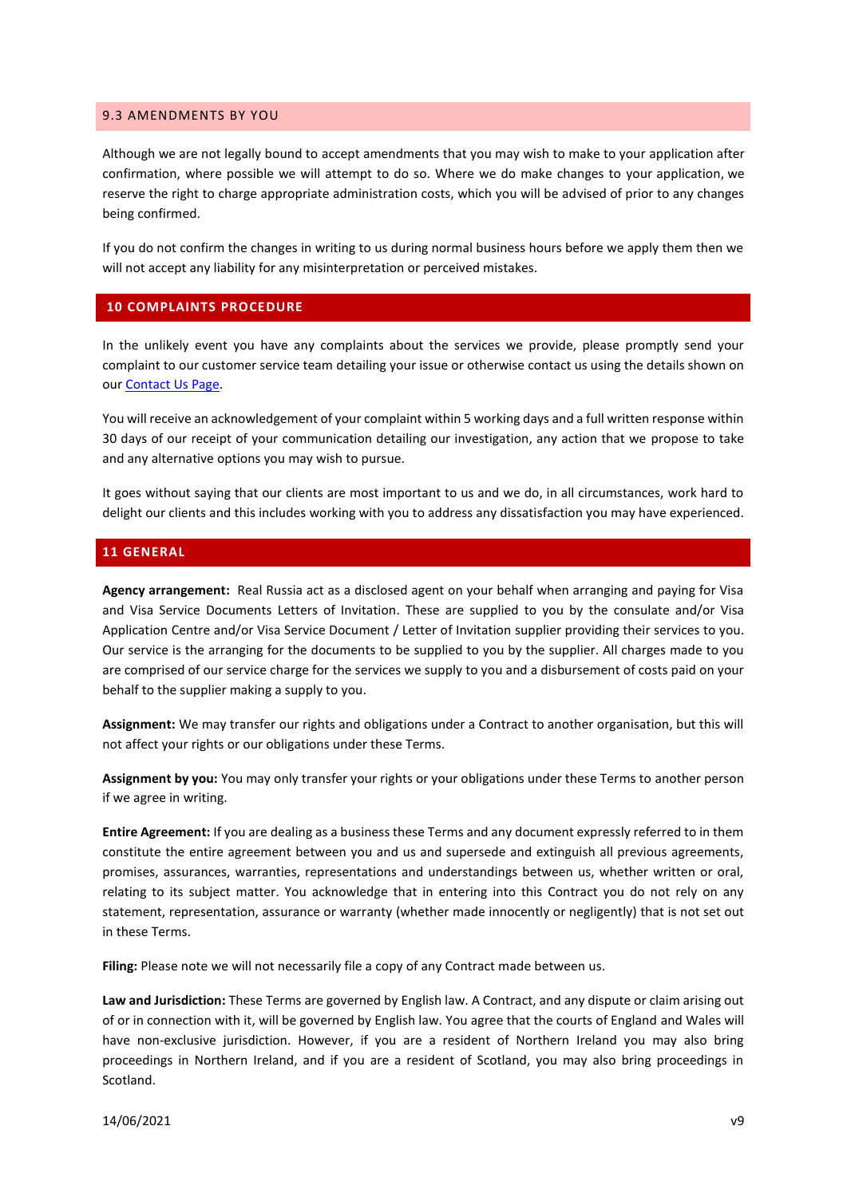#### 9.3 AMENDMENTS BY YOU

Although we are not legally bound to accept amendments that you may wish to make to your application after confirmation, where possible we will attempt to do so. Where we do make changes to your application, we reserve the right to charge appropriate administration costs, which you will be advised of prior to any changes being confirmed.

If you do not confirm the changes in writing to us during normal business hours before we apply them then we will not accept any liability for any misinterpretation or perceived mistakes.

# **10 COMPLAINTS PROCEDURE**

In the unlikely event you have any complaints about the services we provide, please promptly send your complaint to our customer service team detailing your issue or otherwise contact us using the details shown on ou[r Contact Us Page.](https://www.realrussia.co.uk/info/contact-us)

You will receive an acknowledgement of your complaint within 5 working days and a full written response within 30 days of our receipt of your communication detailing our investigation, any action that we propose to take and any alternative options you may wish to pursue.

It goes without saying that our clients are most important to us and we do, in all circumstances, work hard to delight our clients and this includes working with you to address any dissatisfaction you may have experienced.

## **11 GENERAL**

**Agency arrangement:** Real Russia act as a disclosed agent on your behalf when arranging and paying for Visa and Visa Service Documents Letters of Invitation. These are supplied to you by the consulate and/or Visa Application Centre and/or Visa Service Document / Letter of Invitation supplier providing their services to you. Our service is the arranging for the documents to be supplied to you by the supplier. All charges made to you are comprised of our service charge for the services we supply to you and a disbursement of costs paid on your behalf to the supplier making a supply to you.

**Assignment:** We may transfer our rights and obligations under a Contract to another organisation, but this will not affect your rights or our obligations under these Terms.

**Assignment by you:** You may only transfer your rights or your obligations under these Terms to another person if we agree in writing.

**Entire Agreement:** If you are dealing as a business these Terms and any document expressly referred to in them constitute the entire agreement between you and us and supersede and extinguish all previous agreements, promises, assurances, warranties, representations and understandings between us, whether written or oral, relating to its subject matter. You acknowledge that in entering into this Contract you do not rely on any statement, representation, assurance or warranty (whether made innocently or negligently) that is not set out in these Terms.

**Filing:** Please note we will not necessarily file a copy of any Contract made between us.

**Law and Jurisdiction:** These Terms are governed by English law. A Contract, and any dispute or claim arising out of or in connection with it, will be governed by English law. You agree that the courts of England and Wales will have non-exclusive jurisdiction. However, if you are a resident of Northern Ireland you may also bring proceedings in Northern Ireland, and if you are a resident of Scotland, you may also bring proceedings in Scotland.